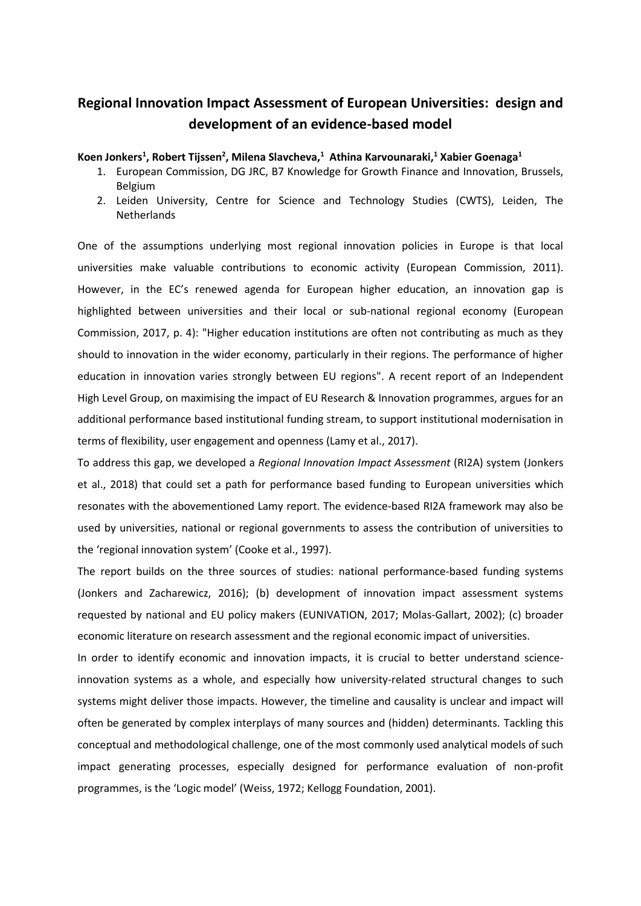## **Regional Innovation Impact Assessment of European Universities: design and development of an evidence-based model**

## **Koen Jonkers<sup>1</sup> , Robert Tijssen<sup>2</sup> , Milena Slavcheva,<sup>1</sup> Athina Karvounaraki,<sup>1</sup> Xabier Goenaga<sup>1</sup>**

- 1. European Commission, DG JRC, B7 Knowledge for Growth Finance and Innovation, Brussels, Belgium
- 2. Leiden University, Centre for Science and Technology Studies (CWTS), Leiden, The **Netherlands**

One of the assumptions underlying most regional innovation policies in Europe is that local universities make valuable contributions to economic activity (European Commission, 2011). However, in the EC's renewed agenda for European higher education, an innovation gap is highlighted between universities and their local or sub-national regional economy (European Commission, 2017, p. 4): "Higher education institutions are often not contributing as much as they should to innovation in the wider economy, particularly in their regions. The performance of higher education in innovation varies strongly between EU regions". A recent report of an Independent High Level Group, on maximising the impact of EU Research & Innovation programmes, argues for an additional performance based institutional funding stream, to support institutional modernisation in terms of flexibility, user engagement and openness (Lamy et al., 2017).

To address this gap, we developed a *Regional Innovation Impact Assessment* (RI2A) system (Jonkers et al., 2018) that could set a path for performance based funding to European universities which resonates with the abovementioned Lamy report. The evidence-based RI2A framework may also be used by universities, national or regional governments to assess the contribution of universities to the 'regional innovation system' (Cooke et al., 1997).

The report builds on the three sources of studies: national performance-based funding systems (Jonkers and Zacharewicz, 2016); (b) development of innovation impact assessment systems requested by national and EU policy makers (EUNIVATION, 2017; Molas-Gallart, 2002); (c) broader economic literature on research assessment and the regional economic impact of universities.

In order to identify economic and innovation impacts, it is crucial to better understand scienceinnovation systems as a whole, and especially how university-related structural changes to such systems might deliver those impacts. However, the timeline and causality is unclear and impact will often be generated by complex interplays of many sources and (hidden) determinants. Tackling this conceptual and methodological challenge, one of the most commonly used analytical models of such impact generating processes, especially designed for performance evaluation of non-profit programmes, is the 'Logic model' (Weiss, 1972; Kellogg Foundation, 2001).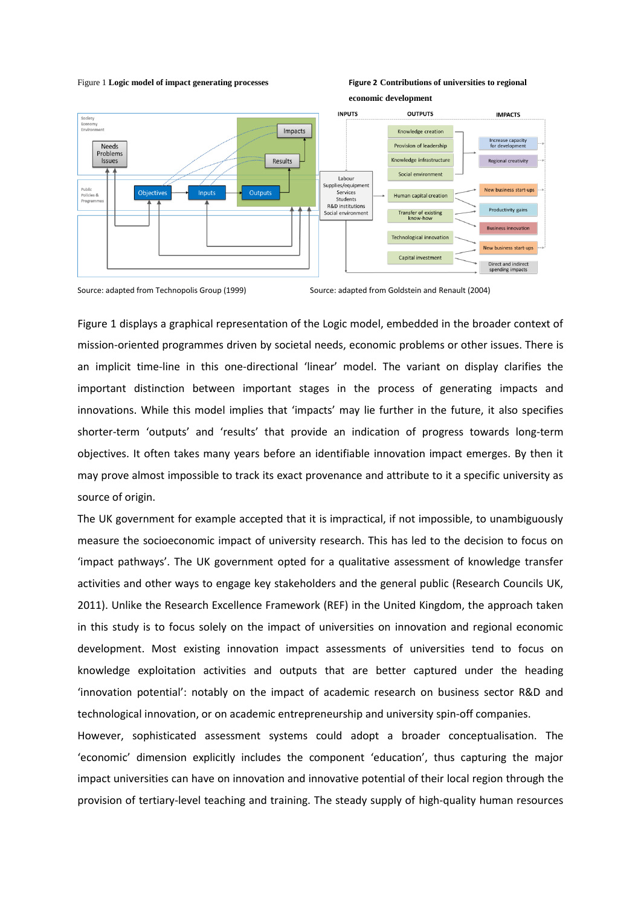## Figure 1 **Logic model of impact generating processes Figure 2 Contributions of universities to regional**



Source: adapted from Technopolis Group (1999) Source: adapted from Goldstein and Renault (2004)

Figure 1 displays a graphical representation of the Logic model, embedded in the broader context of mission-oriented programmes driven by societal needs, economic problems or other issues. There is an implicit time-line in this one-directional 'linear' model. The variant on display clarifies the important distinction between important stages in the process of generating impacts and innovations. While this model implies that 'impacts' may lie further in the future, it also specifies shorter-term 'outputs' and 'results' that provide an indication of progress towards long-term objectives. It often takes many years before an identifiable innovation impact emerges. By then it may prove almost impossible to track its exact provenance and attribute to it a specific university as source of origin.

The UK government for example accepted that it is impractical, if not impossible, to unambiguously measure the socioeconomic impact of university research. This has led to the decision to focus on 'impact pathways'. The UK government opted for a qualitative assessment of knowledge transfer activities and other ways to engage key stakeholders and the general public (Research Councils UK, 2011). Unlike the Research Excellence Framework (REF) in the United Kingdom, the approach taken in this study is to focus solely on the impact of universities on innovation and regional economic development. Most existing innovation impact assessments of universities tend to focus on knowledge exploitation activities and outputs that are better captured under the heading 'innovation potential': notably on the impact of academic research on business sector R&D and technological innovation, or on academic entrepreneurship and university spin-off companies.

However, sophisticated assessment systems could adopt a broader conceptualisation. The 'economic' dimension explicitly includes the component 'education', thus capturing the major impact universities can have on innovation and innovative potential of their local region through the provision of tertiary-level teaching and training. The steady supply of high-quality human resources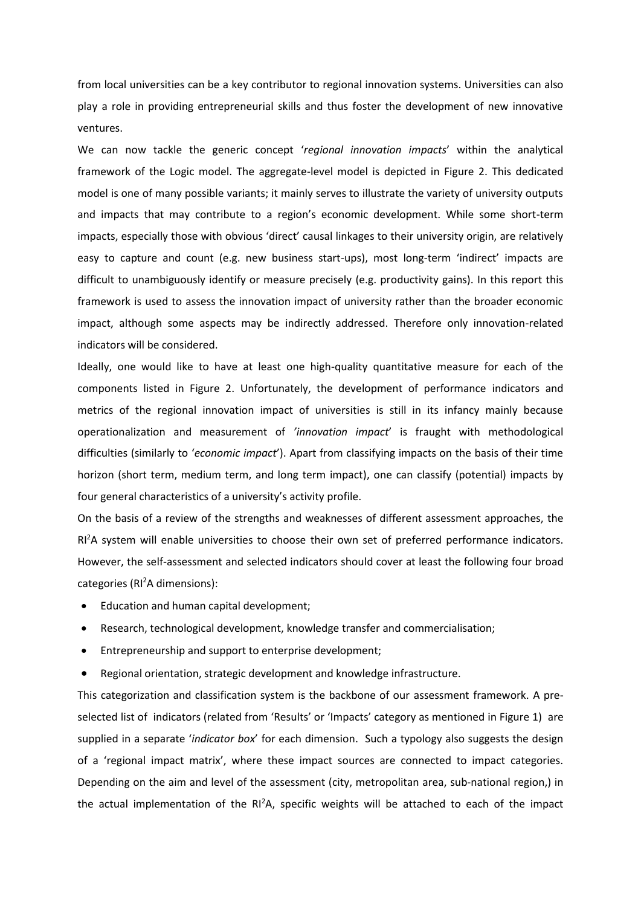from local universities can be a key contributor to regional innovation systems. Universities can also play a role in providing entrepreneurial skills and thus foster the development of new innovative ventures.

We can now tackle the generic concept '*regional innovation impacts*' within the analytical framework of the Logic model. The aggregate-level model is depicted in Figure 2. This dedicated model is one of many possible variants; it mainly serves to illustrate the variety of university outputs and impacts that may contribute to a region's economic development. While some short-term impacts, especially those with obvious 'direct' causal linkages to their university origin, are relatively easy to capture and count (e.g. new business start-ups), most long-term 'indirect' impacts are difficult to unambiguously identify or measure precisely (e.g. productivity gains). In this report this framework is used to assess the innovation impact of university rather than the broader economic impact, although some aspects may be indirectly addressed. Therefore only innovation-related indicators will be considered.

Ideally, one would like to have at least one high-quality quantitative measure for each of the components listed in Figure 2. Unfortunately, the development of performance indicators and metrics of the regional innovation impact of universities is still in its infancy mainly because operationalization and measurement of *'innovation impact*' is fraught with methodological difficulties (similarly to '*economic impact*'). Apart from classifying impacts on the basis of their time horizon (short term, medium term, and long term impact), one can classify (potential) impacts by four general characteristics of a university's activity profile.

On the basis of a review of the strengths and weaknesses of different assessment approaches, the RI<sup>2</sup>A system will enable universities to choose their own set of preferred performance indicators. However, the self-assessment and selected indicators should cover at least the following four broad categories (RI<sup>2</sup>A dimensions):

- Education and human capital development;
- Research, technological development, knowledge transfer and commercialisation;
- Entrepreneurship and support to enterprise development;
- Regional orientation, strategic development and knowledge infrastructure.

This categorization and classification system is the backbone of our assessment framework. A preselected list of indicators (related from 'Results' or 'Impacts' category as mentioned in Figure 1) are supplied in a separate '*indicator box*' for each dimension. Such a typology also suggests the design of a 'regional impact matrix', where these impact sources are connected to impact categories. Depending on the aim and level of the assessment (city, metropolitan area, sub-national region,) in the actual implementation of the  $RI^2A$ , specific weights will be attached to each of the impact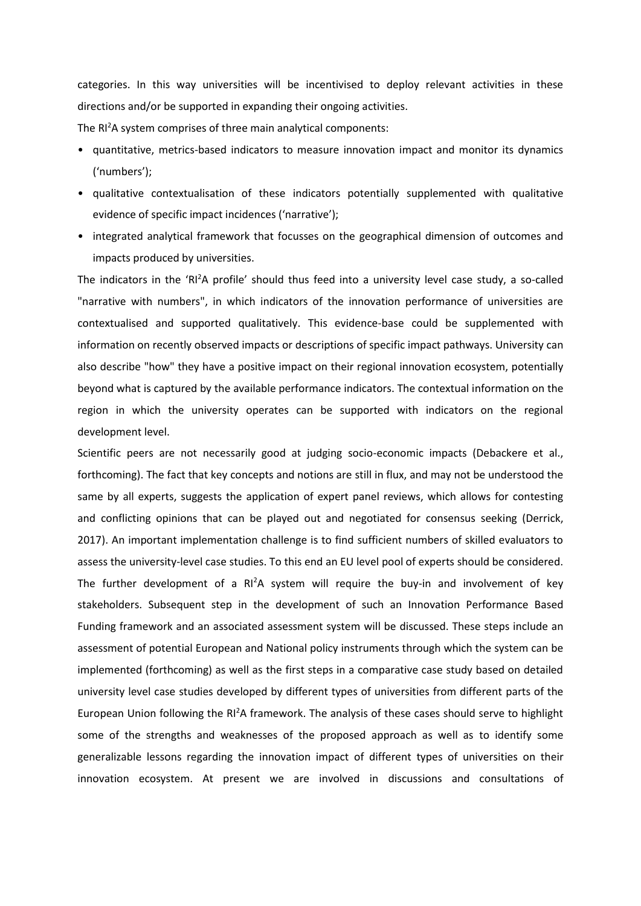categories. In this way universities will be incentivised to deploy relevant activities in these directions and/or be supported in expanding their ongoing activities.

The RI<sup>2</sup>A system comprises of three main analytical components:

- quantitative, metrics-based indicators to measure innovation impact and monitor its dynamics ('numbers');
- qualitative contextualisation of these indicators potentially supplemented with qualitative evidence of specific impact incidences ('narrative');
- integrated analytical framework that focusses on the geographical dimension of outcomes and impacts produced by universities.

The indicators in the 'RI<sup>2</sup>A profile' should thus feed into a university level case study, a so-called "narrative with numbers", in which indicators of the innovation performance of universities are contextualised and supported qualitatively. This evidence-base could be supplemented with information on recently observed impacts or descriptions of specific impact pathways. University can also describe "how" they have a positive impact on their regional innovation ecosystem, potentially beyond what is captured by the available performance indicators. The contextual information on the region in which the university operates can be supported with indicators on the regional development level.

Scientific peers are not necessarily good at judging socio-economic impacts (Debackere et al., forthcoming). The fact that key concepts and notions are still in flux, and may not be understood the same by all experts, suggests the application of expert panel reviews, which allows for contesting and conflicting opinions that can be played out and negotiated for consensus seeking (Derrick, 2017). An important implementation challenge is to find sufficient numbers of skilled evaluators to assess the university-level case studies. To this end an EU level pool of experts should be considered. The further development of a  $RI^2A$  system will require the buy-in and involvement of key stakeholders. Subsequent step in the development of such an Innovation Performance Based Funding framework and an associated assessment system will be discussed. These steps include an assessment of potential European and National policy instruments through which the system can be implemented (forthcoming) as well as the first steps in a comparative case study based on detailed university level case studies developed by different types of universities from different parts of the European Union following the RI<sup>2</sup>A framework. The analysis of these cases should serve to highlight some of the strengths and weaknesses of the proposed approach as well as to identify some generalizable lessons regarding the innovation impact of different types of universities on their innovation ecosystem. At present we are involved in discussions and consultations of